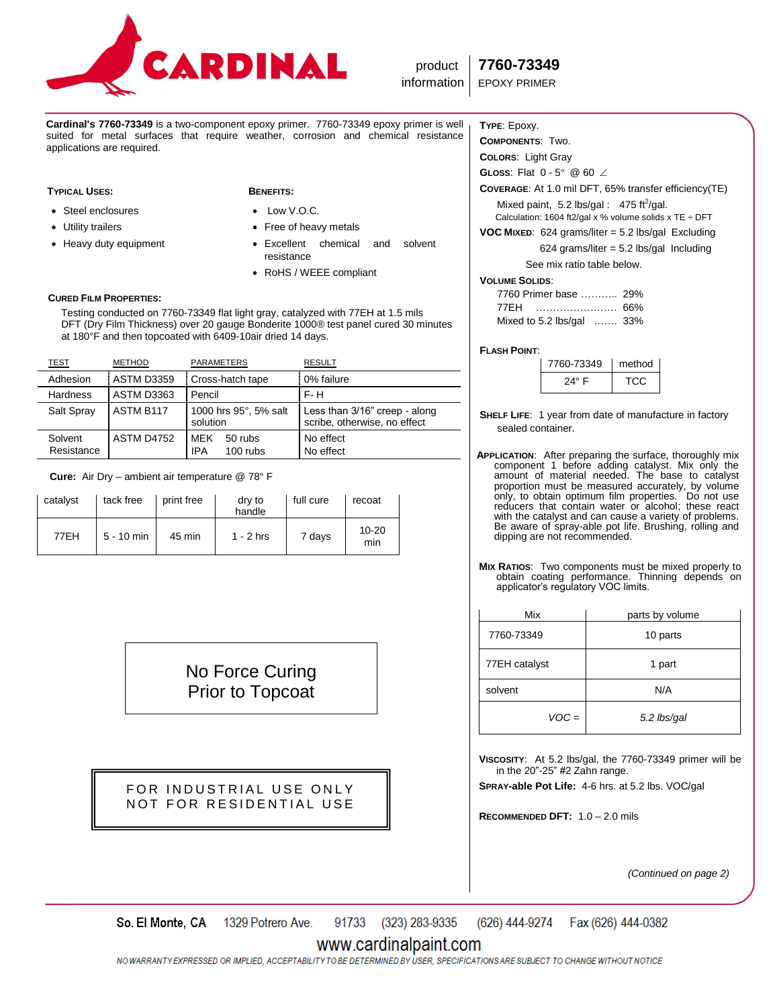

**Cardinal's 7760-73349** is a two-component epoxy primer. 7760-73349 epoxy primer is well suited for metal surfaces that require weather, corrosion and chemical resistance applications are required.

### **TYPICAL USES: BENEFITS:**

### Steel enclosures

- Utility trailers
- Heavy duty equipment

- Low V.O.C.
- Free of heavy metals
- Excellent chemical and solvent resistance
- RoHS / WEEE compliant

### **CURED FILM PROPERTIES:**

 Testing conducted on 7760-73349 flat light gray, catalyzed with 77EH at 1.5 mils DFT (Dry Film Thickness) over 20 gauge Bonderite 1000® test panel cured 30 minutes at 180°F and then topcoated with 6409-10air dried 14 days.

| <b>TEST</b>           | <b>METHOD</b>     | <b>PARAMETERS</b>                                 | <b>RESULT</b>                                                 |
|-----------------------|-------------------|---------------------------------------------------|---------------------------------------------------------------|
| Adhesion              | <b>ASTM D3359</b> | Cross-hatch tape                                  | 0% failure                                                    |
| Hardness              | ASTM D3363        | Pencil                                            | F-H                                                           |
| Salt Spray            | ASTM B117         | 1000 hrs 95°, 5% salt<br>solution                 | Less than 3/16" creep - along<br>scribe, otherwise, no effect |
| Solvent<br>Resistance | <b>ASTM D4752</b> | <b>MFK</b><br>50 rubs<br><b>IPA</b><br>$100$ rubs | No effect<br>No effect                                        |

 **Cure:** Air Dry – ambient air temperature @ 78° F

| catalyst | tack free    | print free | dry to<br>handle | full cure | recoat           |
|----------|--------------|------------|------------------|-----------|------------------|
| 77EH     | $5 - 10$ min | 45 min     | $1 - 2$ hrs      | 7 days    | $10 - 20$<br>min |

No Force Curing Prior to Topcoat

# FOR INDUSTRIAL USE ONLY NOT FOR RESIDENTIAL USE

## **TYPE**: Epoxy.

**COMPONENTS**: Two.

**COLORS**: Light Gray

**GLoss:** Flat 0 - 5° @ 60 ∠

**COVERAGE**: At 1.0 mil DFT, 65% transfer efficiency(TE) Mixed paint,  $5.2$  lbs/gal :  $475$  ft<sup>2</sup>/gal. Calculation: 1604 ft2/gal x % volume solids x TE  $\div$  DFT

**VOC MIXED**: 624 grams/liter = 5.2 lbs/gal Excluding  $624$  grams/liter =  $5.2$  lbs/gal Including

See mix ratio table below.

### **VOLUME SOLIDS**:

| 7760 Primer base  29%     |  |
|---------------------------|--|
| 77FH                      |  |
| Mixed to 5.2 lbs/gal  33% |  |

### **FLASH POINT**:

| 7760-73349 | method |  |
|------------|--------|--|
| 24° F      | .      |  |

- **SHELF LIFE**: 1 year from date of manufacture in factory sealed container.
- **APPLICATION**: After preparing the surface, thoroughly mix component 1 before adding catalyst. Mix only the amount of material needed. The base to catalyst proportion must be measured accurately, by volume only, to obtain optimum film properties. Do not use reducers that contain water or alcohol; these react with the catalyst and can cause a variety of problems. Be aware of spray-able pot life. Brushing, rolling and dipping are not recommended.
- **MIX RATIOS**: Two components must be mixed properly to obtain coating performance. Thinning depends on applicator's regulatory VOC limits.

| Mix           | parts by volume |  |
|---------------|-----------------|--|
| 7760-73349    | 10 parts        |  |
| 77EH catalyst | 1 part          |  |
| solvent       | N/A             |  |
| $VOC =$       | 5.2 lbs/gal     |  |

**VISCOSITY**: At 5.2 lbs/gal, the 7760-73349 primer will be in the 20"-25" #2 Zahn range.

**SPRAY-able Pot Life:** 4-6 hrs. at 5.2 lbs. VOC/gal

**RECOMMENDED DFT:** 1.0 – 2.0 mils

*(Continued on page 2)*

91733 (323) 283-9335 (626) 444-9274 So. El Monte, CA 1329 Potrero Ave. Fax (626) 444-0382

# www.cardinalpaint.com

NO WARRANTY EXPRESSED OR IMPLIED. ACCEPTABILITY TO BE DETERMINED BY USER. SPECIFICATIONS ARE SUBJECT TO CHANGE WITHOUT NOTICE